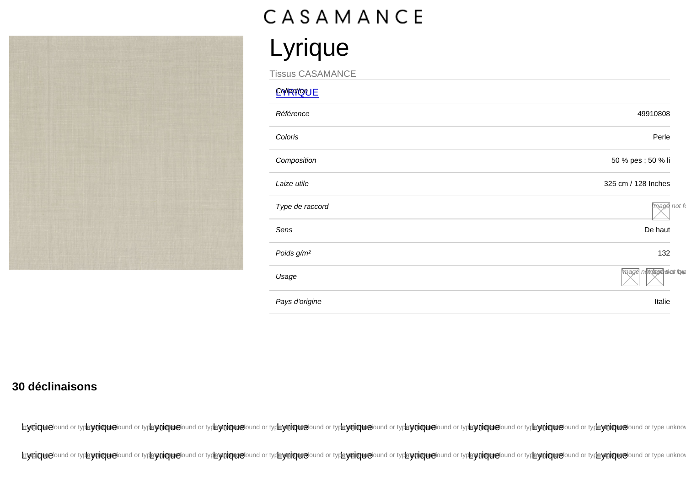## Lyrique

Tissus CASAMANCE

| <b>COMPORTIQUE</b>     |                          |
|------------------------|--------------------------|
| Référence              | 49910808                 |
| Coloris                | Perle                    |
| Composition            | 50 % pes ; 50 % li       |
| Laize utile            | 325 cm / 128 Inches      |
| Type de raccord        | mage not fo              |
| Sens                   | De haut                  |
| Poids g/m <sup>2</sup> | 132                      |
| Usage                  | mage noticlage door from |
| Pays d'origine         | Italie                   |
|                        |                          |

30 déclinaisons

hypiquefound or type yniquefound or type yniquefound or type yniquefound or type yniquefound or type yniquefound or type yniquefound or type yniquefound or type yniquefound or type yniquefound or type yniquefound or type y

Invertoriational or typis of typis of typis of typis of typis of typis of typis of typis of typis of typis of typis of typis of typis of typis of typis of typis of typis of typis of typis of typis of typis of typis of typi